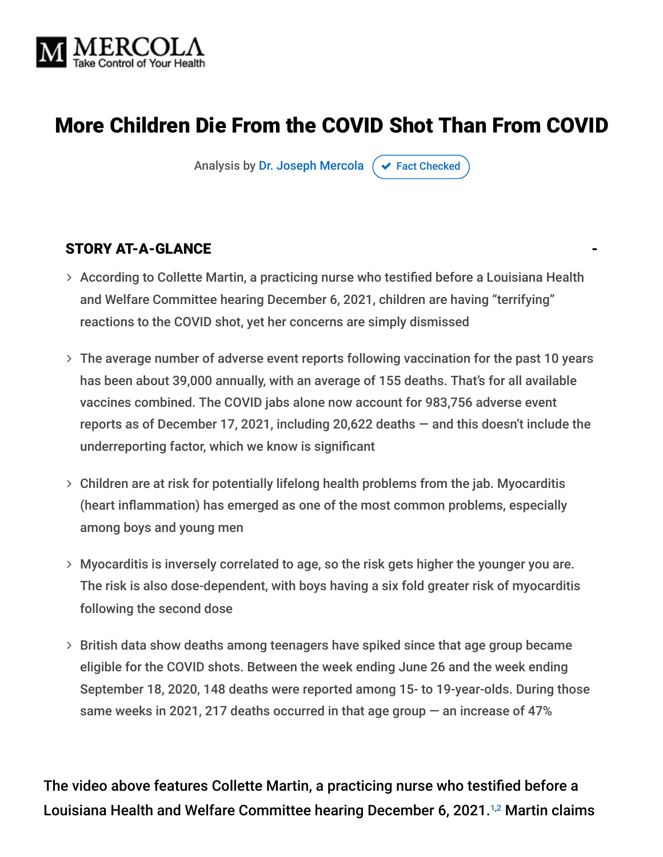

# More Children Die From the COVID Shot Than From COVID

Analysis by [Dr. Joseph Mercola](https://www.mercola.com/forms/background.htm)  $\sigma$  [Fact Checked](javascript:void(0))

#### STORY AT-A-GLANCE

- According to Collette Martin, a practicing nurse who testified before a Louisiana Health and Welfare Committee hearing December 6, 2021, children are having "terrifying" reactions to the COVID shot, yet her concerns are simply dismissed
- The average number of adverse event reports following vaccination for the past 10 years has been about 39,000 annually, with an average of 155 deaths. That's for all available vaccines combined. The COVID jabs alone now account for 983,756 adverse event reports as of December 17, 2021, including 20,622 deaths — and this doesn't include the underreporting factor, which we know is significant
- Children are at risk for potentially lifelong health problems from the jab. Myocarditis (heart inflammation) has emerged as one of the most common problems, especially among boys and young men
- Myocarditis is inversely correlated to age, so the risk gets higher the younger you are. The risk is also dose-dependent, with boys having a six fold greater risk of myocarditis following the second dose
- $>$  British data show deaths among teenagers have spiked since that age group became eligible for the COVID shots. Between the week ending June 26 and the week ending September 18, 2020, 148 deaths were reported among 15- to 19-year-olds. During those same weeks in 2021, 217 deaths occurred in that age group — an increase of 47%

The video above features Collette Martin, a practicing nurse who testified before a Louisiana Health and Welfare Committee hearing December 6, 2021.<sup>1,2</sup> Martin claims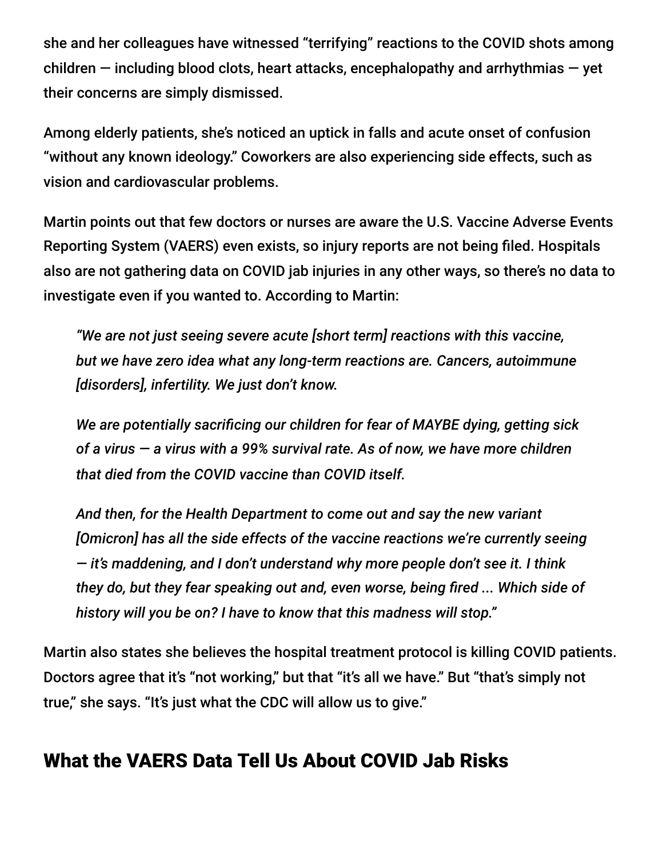she and her colleagues have witnessed "terrifying" reactions to the COVID shots among children  $-$  including blood clots, heart attacks, encephalopathy and arrhythmias  $-$  yet their concerns are simply dismissed.

Among elderly patients, she's noticed an uptick in falls and acute onset of confusion "without any known ideology." Coworkers are also experiencing side effects, such as vision and cardiovascular problems.

Martin points out that few doctors or nurses are aware the U.S. Vaccine Adverse Events Reporting System (VAERS) even exists, so injury reports are not being filed. Hospitals also are not gathering data on COVID jab injuries in any other ways, so there's no data to investigate even if you wanted to. According to Martin:

*"We are not just seeing severe acute [short term] reactions with this vaccine, but we have zero idea what any long-term reactions are. Cancers, autoimmune [disorders], infertility. We just don't know.*

*We are potentially sacrificing our children for fear of MAYBE dying, getting sick of a virus — a virus with a 99% survival rate. As of now, we have more children that died from the COVID vaccine than COVID itself.*

*And then, for the Health Department to come out and say the new variant [Omicron] has all the side effects of the vaccine reactions we're currently seeing — it's maddening, and I don't understand why more people don't see it. I think they do, but they fear speaking out and, even worse, being fired ... Which side of history will you be on? I have to know that this madness will stop."*

Martin also states she believes the hospital treatment protocol is killing COVID patients. Doctors agree that it's "not working," but that "it's all we have." But "that's simply not true," she says. "It's just what the CDC will allow us to give."

### What the VAERS Data Tell Us About COVID Jab Risks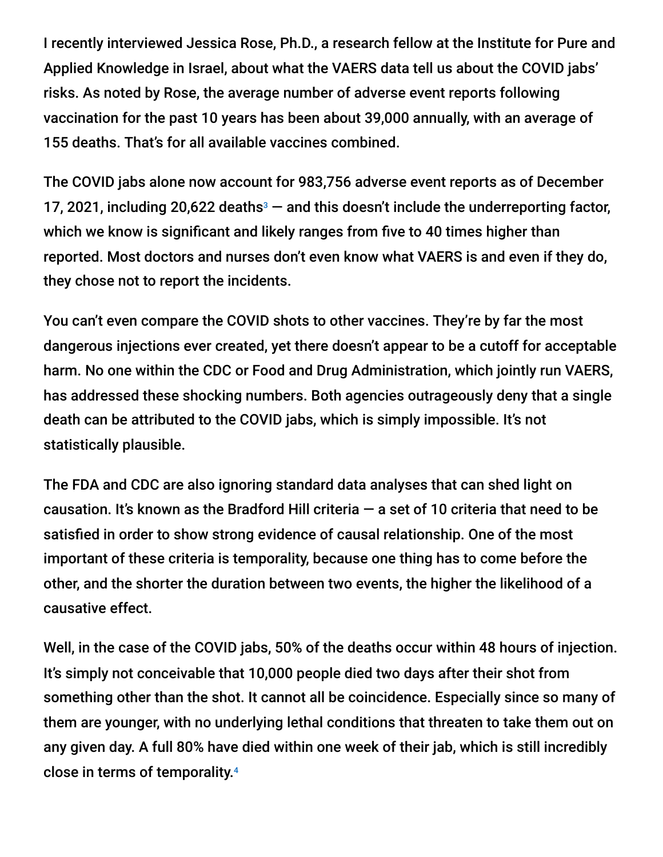I recently interviewed Jessica Rose, Ph.D., a research fellow at the Institute for Pure and Applied Knowledge in Israel, about what the VAERS data tell us about the COVID jabs' risks. As noted by Rose, the average number of adverse event reports following vaccination for the past 10 years has been about 39,000 annually, with an average of 155 deaths. That's for all available vaccines combined.

The COVID jabs alone now account for 983,756 adverse event reports as of December 17, 2021, including 20,622 deaths $3$  – and this doesn't include the underreporting factor, which we know is significant and likely ranges from five to 40 times higher than reported. Most doctors and nurses don't even know what VAERS is and even if they do, they chose not to report the incidents.

You can't even compare the COVID shots to other vaccines. They're by far the most dangerous injections ever created, yet there doesn't appear to be a cutoff for acceptable harm. No one within the CDC or Food and Drug Administration, which jointly run VAERS, has addressed these shocking numbers. Both agencies outrageously deny that a single death can be attributed to the COVID jabs, which is simply impossible. It's not statistically plausible.

The FDA and CDC are also ignoring standard data analyses that can shed light on causation. It's known as the Bradford Hill criteria  $-$  a set of 10 criteria that need to be satisfied in order to show strong evidence of causal relationship. One of the most important of these criteria is temporality, because one thing has to come before the other, and the shorter the duration between two events, the higher the likelihood of a causative effect.

Well, in the case of the COVID jabs, 50% of the deaths occur within 48 hours of injection. It's simply not conceivable that 10,000 people died two days after their shot from something other than the shot. It cannot all be coincidence. Especially since so many of them are younger, with no underlying lethal conditions that threaten to take them out on any given day. A full 80% have died within one week of their jab, which is still incredibly close in terms of temporality. 4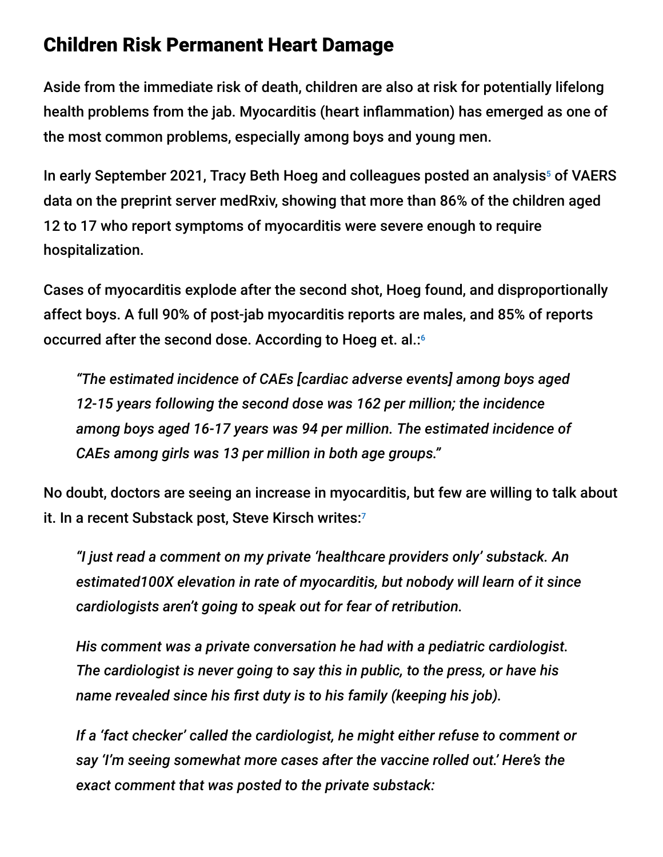### Children Risk Permanent Heart Damage

Aside from the immediate risk of death, children are also at risk for potentially lifelong health problems from the jab. Myocarditis (heart inflammation) has emerged as one of the most common problems, especially among boys and young men.

In early September 2021, Tracy Beth Hoeg and colleagues posted an analysis<sup>5</sup> of VAERS data on the preprint server medRxiv, showing that more than 86% of the children aged 12 to 17 who report symptoms of myocarditis were severe enough to require hospitalization.

Cases of myocarditis explode after the second shot, Hoeg found, and disproportionally affect boys. A full 90% of post-jab myocarditis reports are males, and 85% of reports occurred after the second dose. According to Hoeg et. al.: 6

*"The estimated incidence of CAEs [cardiac adverse events] among boys aged 12-15 years following the second dose was 162 per million; the incidence among boys aged 16-17 years was 94 per million. The estimated incidence of CAEs among girls was 13 per million in both age groups."*

No doubt, doctors are seeing an increase in myocarditis, but few are willing to talk about it. In a recent Substack post, Steve Kirsch writes: 7

*"I just read a comment on my private 'healthcare providers only' substack. An estimated100X elevation in rate of myocarditis, but nobody will learn of it since cardiologists aren't going to speak out for fear of retribution.*

*His comment was a private conversation he had with a pediatric cardiologist. The cardiologist is never going to say this in public, to the press, or have his name revealed since his first duty is to his family (keeping his job).*

*If a 'fact checker' called the cardiologist, he might either refuse to comment or say 'I'm seeing somewhat more cases after the vaccine rolled out.' Here's the exact comment that was posted to the private substack:*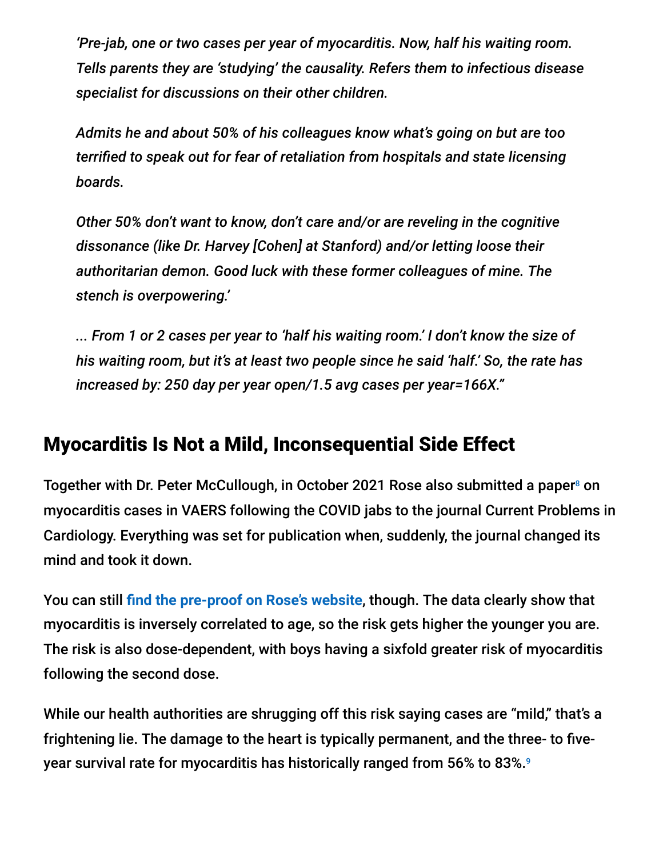*'Pre-jab, one or two cases per year of myocarditis. Now, half his waiting room. Tells parents they are 'studying' the causality. Refers them to infectious disease specialist for discussions on their other children.*

*Admits he and about 50% of his colleagues know what's going on but are too terrified to speak out for fear of retaliation from hospitals and state licensing boards.*

*Other 50% don't want to know, don't care and/or are reveling in the cognitive dissonance (like Dr. Harvey [Cohen] at Stanford) and/or letting loose their authoritarian demon. Good luck with these former colleagues of mine. The stench is overpowering.'*

*... From 1 or 2 cases per year to 'half his waiting room.' I don't know the size of his waiting room, but it's at least two people since he said 'half.' So, the rate has increased by: 250 day per year open/1.5 avg cases per year=166X."*

### Myocarditis Is Not a Mild, Inconsequential Side Effect

Together with Dr. Peter McCullough, in October 2021 Rose also submitted a paper<sup>8</sup> on myocarditis cases in VAERS following the COVID jabs to the journal Current Problems in Cardiology. Everything was set for publication when, suddenly, the journal changed its mind and took it down.

You can still **[find the pre-proof on Rose's website](https://i-do-not-consent.netlify.app/media/A%20Report%20on%20Myocarditis%20Adverse%20Events%20in%20the%20U.S.%20Vaccine%20AdverseEvents%20Reporting%20System%20%28VAERS%29%20in%20Association%20with%20COVID19%20Injectable%20Biological%20Products.pdf)**, though. The data clearly show that myocarditis is inversely correlated to age, so the risk gets higher the younger you are. The risk is also dose-dependent, with boys having a sixfold greater risk of myocarditis following the second dose.

While our health authorities are shrugging off this risk saying cases are "mild," that's a frightening lie. The damage to the heart is typically permanent, and the three- to fiveyear survival rate for myocarditis has historically ranged from 56% to 83%. 9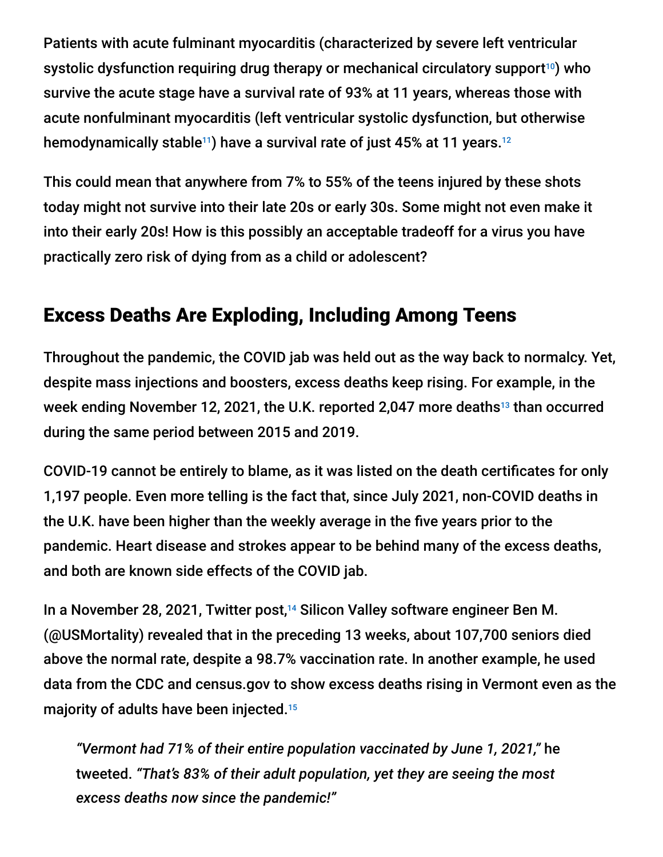Patients with acute fulminant myocarditis (characterized by severe left ventricular systolic dysfunction requiring drug therapy or mechanical circulatory support<sup>10</sup>) who survive the acute stage have a survival rate of 93% at 11 years, whereas those with acute nonfulminant myocarditis (left ventricular systolic dysfunction, but otherwise hemodynamically stable $^{\text{\tiny{11}}}$ ) have a survival rate of just 45% at 11 years. $^{\text{\tiny{12}}}$ 

This could mean that anywhere from 7% to 55% of the teens injured by these shots today might not survive into their late 20s or early 30s. Some might not even make it into their early 20s! How is this possibly an acceptable tradeoff for a virus you have practically zero risk of dying from as a child or adolescent?

## Excess Deaths Are Exploding, Including Among Teens

Throughout the pandemic, the COVID jab was held out as the way back to normalcy. Yet, despite mass injections and boosters, excess deaths keep rising. For example, in the week ending November 12, 2021, the U.K. reported 2,047 more deaths<sup>13</sup> than occurred during the same period between 2015 and 2019.

COVID-19 cannot be entirely to blame, as it was listed on the death certificates for only 1,197 people. Even more telling is the fact that, since July 2021, non-COVID deaths in the U.K. have been higher than the weekly average in the five years prior to the pandemic. Heart disease and strokes appear to be behind many of the excess deaths, and both are known side effects of the COVID jab.

In a November 28, 2021, Twitter post,<sup>14</sup> Silicon Valley software engineer Ben M. (@USMortality) revealed that in the preceding 13 weeks, about 107,700 seniors died above the normal rate, despite a 98.7% vaccination rate. In another example, he used data from the CDC and census.gov to show excess deaths rising in Vermont even as the majority of adults have been injected. 15

*"Vermont had 71% of their entire population vaccinated by June 1, 2021,"* he tweeted. *"That's 83% of their adult population, yet they are seeing the most excess deaths now since the pandemic!"*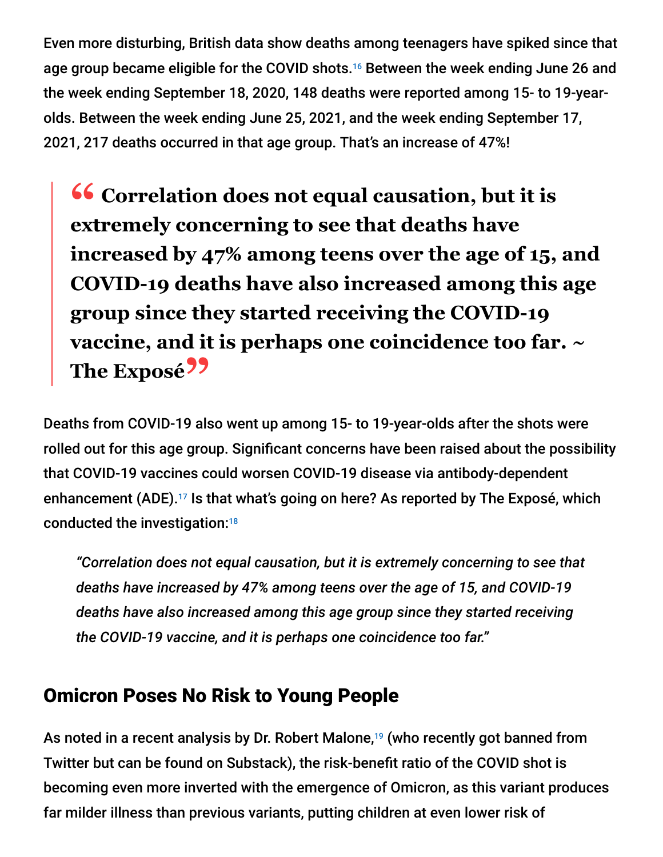Even more disturbing, British data show deaths among teenagers have spiked since that age group became eligible for the COVID shots.<sup>16</sup> Between the week ending June 26 and the week ending September 18, 2020, 148 deaths were reported among 15- to 19-yearolds. Between the week ending June 25, 2021, and the week ending September 17, 2021, 217 deaths occurred in that age group. That's an increase of 47%!

**<sup>66</sup>** Correlation does not equal causation, but it is extremely concerning to see that deaths have **extremely concerning to see that deaths have increased by 47% among teens over the age of 15, and COVID-19 deaths have also increased among this age group since they started receiving the COVID-19 vaccine, and it is perhaps one coincidence too far. ~ The Exposé**<sup>99</sup>

Deaths from COVID-19 also went up among 15- to 19-year-olds after the shots were rolled out for this age group. Significant concerns have been raised about the possibility that COVID-19 vaccines could worsen COVID-19 disease via antibody-dependent enhancement (ADE).<sup>17</sup> Is that what's going on here? As reported by The Exposé, which conducted the investigation: 18

*"Correlation does not equal causation, but it is extremely concerning to see that deaths have increased by 47% among teens over the age of 15, and COVID-19 deaths have also increased among this age group since they started receiving the COVID-19 vaccine, and it is perhaps one coincidence too far."*

### Omicron Poses No Risk to Young People

As noted in a recent analysis by Dr. Robert Malone,<sup>19</sup> (who recently got banned from Twitter but can be found on Substack), the risk-benefit ratio of the COVID shot is becoming even more inverted with the emergence of Omicron, as this variant produces far milder illness than previous variants, putting children at even lower risk of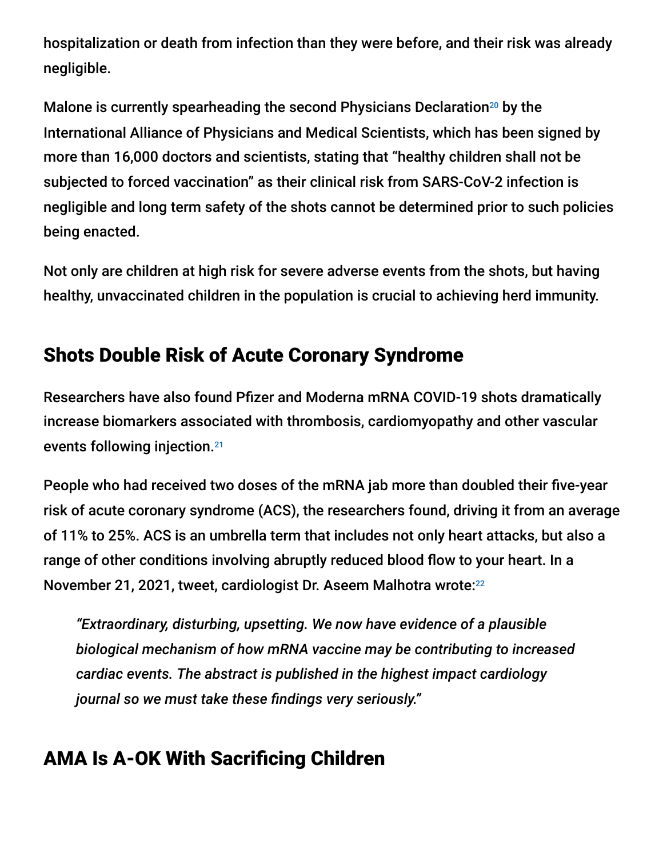hospitalization or death from infection than they were before, and their risk was already negligible.

Malone is currently spearheading the second Physicians Declaration $20$  by the International Alliance of Physicians and Medical Scientists, which has been signed by more than 16,000 doctors and scientists, stating that "healthy children shall not be subjected to forced vaccination" as their clinical risk from SARS-CoV-2 infection is negligible and long term safety of the shots cannot be determined prior to such policies being enacted.

Not only are children at high risk for severe adverse events from the shots, but having healthy, unvaccinated children in the population is crucial to achieving herd immunity.

# Shots Double Risk of Acute Coronary Syndrome

Researchers have also found Pfizer and Moderna mRNA COVID-19 shots dramatically increase biomarkers associated with thrombosis, cardiomyopathy and other vascular events following injection. 21

People who had received two doses of the mRNA jab more than doubled their five-year risk of acute coronary syndrome (ACS), the researchers found, driving it from an average of 11% to 25%. ACS is an umbrella term that includes not only heart attacks, but also a range of other conditions involving abruptly reduced blood flow to your heart. In a November 21, 2021, tweet, cardiologist Dr. Aseem Malhotra wrote: 22

*"Extraordinary, disturbing, upsetting. We now have evidence of a plausible biological mechanism of how mRNA vaccine may be contributing to increased cardiac events. The abstract is published in the highest impact cardiology journal so we must take these findings very seriously."*

# AMA Is A-OK With Sacrificing Children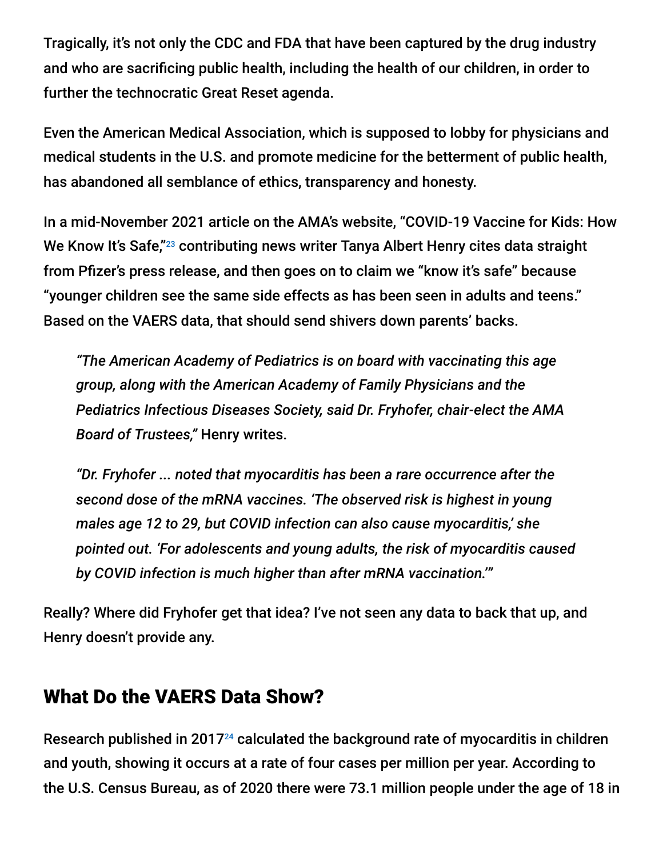Tragically, it's not only the CDC and FDA that have been captured by the drug industry and who are sacrificing public health, including the health of our children, in order to further the technocratic Great Reset agenda.

Even the American Medical Association, which is supposed to lobby for physicians and medical students in the U.S. and promote medicine for the betterment of public health, has abandoned all semblance of ethics, transparency and honesty.

In a mid-November 2021 article on the AMA's website, "COVID-19 Vaccine for Kids: How We Know It's Safe,"<sup>23</sup> contributing news writer Tanya Albert Henry cites data straight from Pfizer's press release, and then goes on to claim we "know it's safe" because "younger children see the same side effects as has been seen in adults and teens." Based on the VAERS data, that should send shivers down parents' backs.

*"The American Academy of Pediatrics is on board with vaccinating this age group, along with the American Academy of Family Physicians and the Pediatrics Infectious Diseases Society, said Dr. Fryhofer, chair-elect the AMA Board of Trustees,"* Henry writes.

*"Dr. Fryhofer ... noted that myocarditis has been a rare occurrence after the second dose of the mRNA vaccines. 'The observed risk is highest in young males age 12 to 29, but COVID infection can also cause myocarditis,' she pointed out. 'For adolescents and young adults, the risk of myocarditis caused by COVID infection is much higher than after mRNA vaccination.'"*

Really? Where did Fryhofer get that idea? I've not seen any data to back that up, and Henry doesn't provide any.

### What Do the VAERS Data Show?

Research published in 2017 $24$  calculated the background rate of myocarditis in children and youth, showing it occurs at a rate of four cases per million per year. According to the U.S. Census Bureau, as of 2020 there were 73.1 million people under the age of 18 in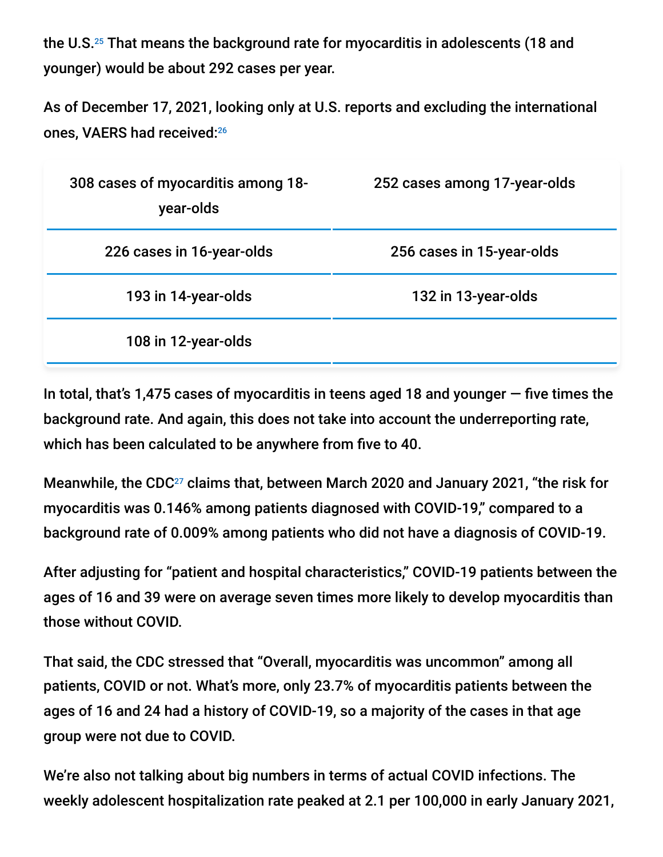the U.S. $^{25}$  That means the background rate for myocarditis in adolescents (18 and younger) would be about 292 cases per year.

As of December 17, 2021, looking only at U.S. reports and excluding the international ones, VAERS had received: 26

| 308 cases of myocarditis among 18-<br>year-olds | 252 cases among 17-year-olds |
|-------------------------------------------------|------------------------------|
| 226 cases in 16-year-olds                       | 256 cases in 15-year-olds    |
| 193 in 14-year-olds                             | 132 in 13-year-olds          |
| 108 in 12-year-olds                             |                              |

In total, that's 1,475 cases of myocarditis in teens aged 18 and younger  $-$  five times the background rate. And again, this does not take into account the underreporting rate, which has been calculated to be anywhere from five to 40.

Meanwhile, the CDC $^{27}$  claims that, between March 2020 and January 2021, "the risk for myocarditis was 0.146% among patients diagnosed with COVID-19," compared to a background rate of 0.009% among patients who did not have a diagnosis of COVID-19.

After adjusting for "patient and hospital characteristics," COVID-19 patients between the ages of 16 and 39 were on average seven times more likely to develop myocarditis than those without COVID.

That said, the CDC stressed that "Overall, myocarditis was uncommon" among all patients, COVID or not. What's more, only 23.7% of myocarditis patients between the ages of 16 and 24 had a history of COVID-19, so a majority of the cases in that age group were not due to COVID.

We're also not talking about big numbers in terms of actual COVID infections. The weekly adolescent hospitalization rate peaked at 2.1 per 100,000 in early January 2021,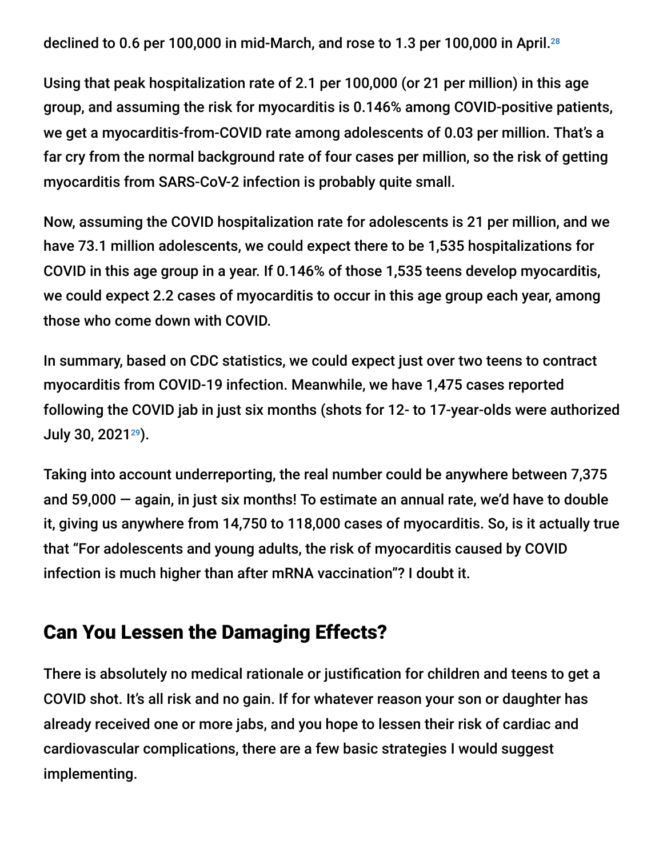declined to 0.6 per 100,000 in mid-March, and rose to 1.3 per 100,000 in April. 28

Using that peak hospitalization rate of 2.1 per 100,000 (or 21 per million) in this age group, and assuming the risk for myocarditis is 0.146% among COVID-positive patients, we get a myocarditis-from-COVID rate among adolescents of 0.03 per million. That's a far cry from the normal background rate of four cases per million, so the risk of getting myocarditis from SARS-CoV-2 infection is probably quite small.

Now, assuming the COVID hospitalization rate for adolescents is 21 per million, and we have 73.1 million adolescents, we could expect there to be 1,535 hospitalizations for COVID in this age group in a year. If 0.146% of those 1,535 teens develop myocarditis, we could expect 2.2 cases of myocarditis to occur in this age group each year, among those who come down with COVID.

In summary, based on CDC statistics, we could expect just over two teens to contract myocarditis from COVID-19 infection. Meanwhile, we have 1,475 cases reported following the COVID jab in just six months (shots for 12- to 17-year-olds were authorized July 30, 2021<sup>29</sup>).

Taking into account underreporting, the real number could be anywhere between 7,375 and 59,000 — again, in just six months! To estimate an annual rate, we'd have to double it, giving us anywhere from 14,750 to 118,000 cases of myocarditis. So, is it actually true that "For adolescents and young adults, the risk of myocarditis caused by COVID infection is much higher than after mRNA vaccination"? I doubt it.

#### Can You Lessen the Damaging Effects?

There is absolutely no medical rationale or justification for children and teens to get a COVID shot. It's all risk and no gain. If for whatever reason your son or daughter has already received one or more jabs, and you hope to lessen their risk of cardiac and cardiovascular complications, there are a few basic strategies I would suggest implementing.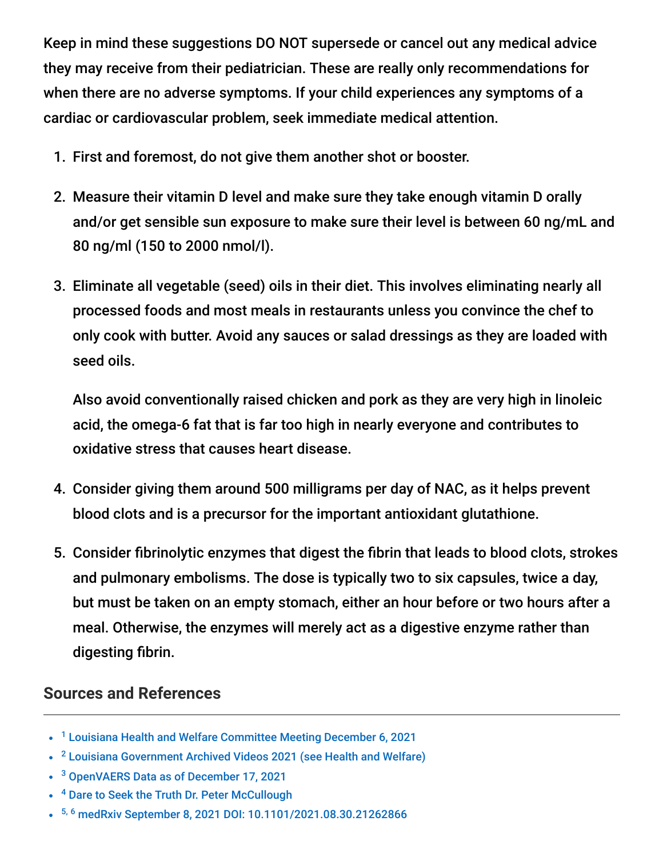Keep in mind these suggestions DO NOT supersede or cancel out any medical advice they may receive from their pediatrician. These are really only recommendations for when there are no adverse symptoms. If your child experiences any symptoms of a cardiac or cardiovascular problem, seek immediate medical attention.

- 1. First and foremost, do not give them another shot or booster.
- 2. Measure their vitamin D level and make sure they take enough vitamin D orally and/or get sensible sun exposure to make sure their level is between 60 ng/mL and 80 ng/ml (150 to 2000 nmol/l).
- 3. Eliminate all vegetable (seed) oils in their diet. This involves eliminating nearly all processed foods and most meals in restaurants unless you convince the chef to only cook with butter. Avoid any sauces or salad dressings as they are loaded with seed oils.

Also avoid conventionally raised chicken and pork as they are very high in linoleic acid, the omega-6 fat that is far too high in nearly everyone and contributes to oxidative stress that causes heart disease.

- 4. Consider giving them around 500 milligrams per day of NAC, as it helps prevent blood clots and is a precursor for the important antioxidant glutathione.
- 5. Consider fibrinolytic enzymes that digest the fibrin that leads to blood clots, strokes and pulmonary embolisms. The dose is typically two to six capsules, twice a day, but must be taken on an empty stomach, either an hour before or two hours after a meal. Otherwise, the enzymes will merely act as a digestive enzyme rather than digesting fibrin.

#### **Sources and References**

- <sup>1</sup> [Louisiana Health and Welfare Committee Meeting December 6, 2021](https://www.house.louisiana.gov/H_Video/VideoArchivePlayer?v=house/2021/dec/1206_21_HW)
- <sup>2</sup> [Louisiana Government Archived Videos 2021 \(see Health and Welfare\)](https://www.house.louisiana.gov/H_Video/2021/Dec2021)
- <sup>3</sup> [OpenVAERS Data as of December 17, 2021](https://openvaers.com/)
- <sup>4</sup> [Dare to Seek the Truth Dr. Peter McCullough](https://www.dareseektruth.com/dr-peter-mccullough/)
- <sup>5, 6</sup> [medRxiv September 8, 2021 DOI: 10.1101/2021.08.30.21262866](https://www.medrxiv.org/content/10.1101/2021.08.30.21262866v1)